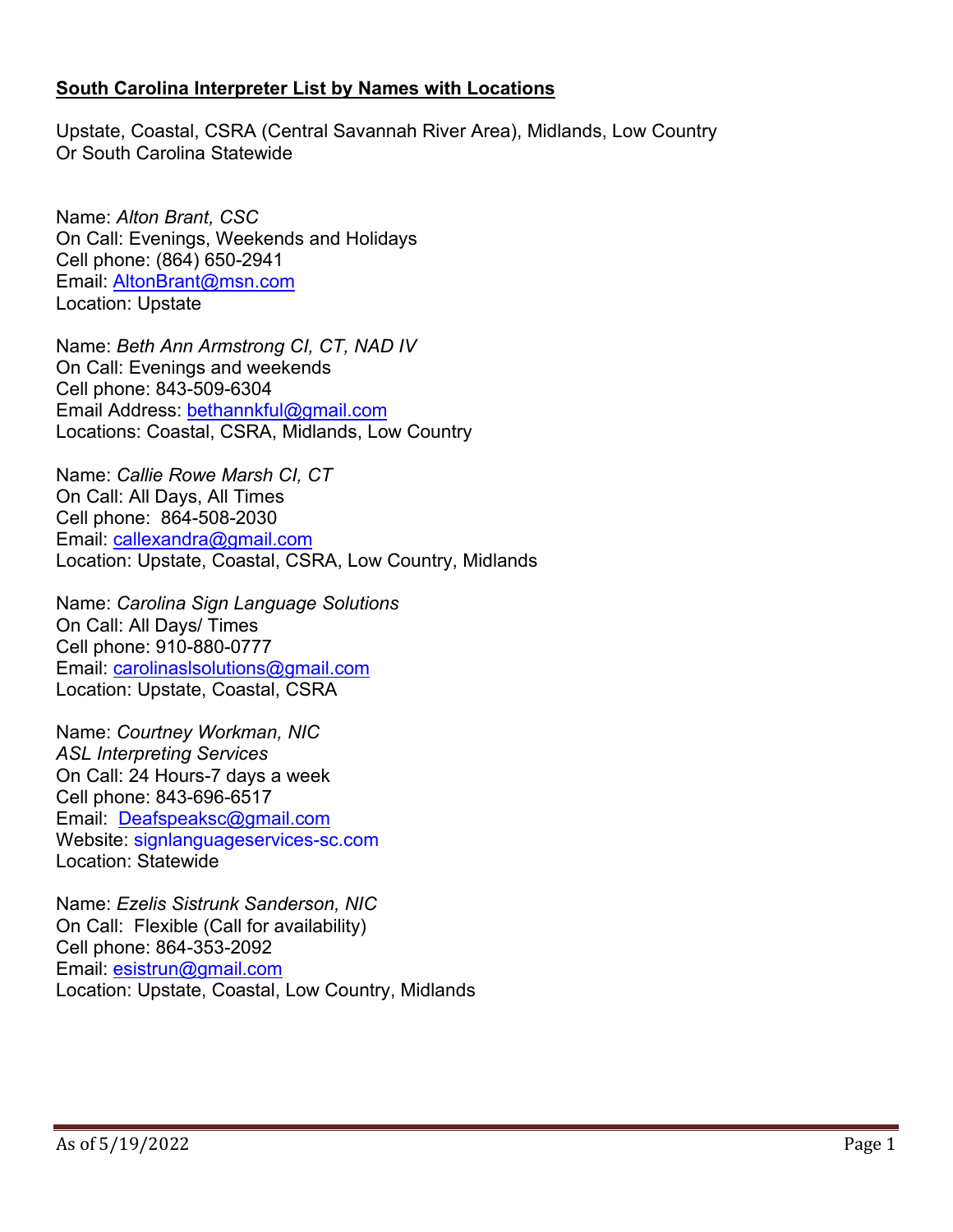## **South Carolina Interpreter List by Names with Locations**

Upstate, Coastal, CSRA (Central Savannah River Area), Midlands, Low Country Or South Carolina Statewide

Name: *Alton Brant, CSC* On Call: Evenings, Weekends and Holidays Cell phone: (864) 650-2941 Email: [AltonBrant@m](mailto:AltonBrant@charter.net)sn.com Location: Upstate

Name: *Beth Ann Armstrong CI, CT, NAD IV* On Call: Evenings and weekends Cell phone: 843-509-6304 Email Address: [bethannkful@gmail.com](mailto:bethannkful@gmail.com) Locations: Coastal, CSRA, Midlands, Low Country

Name: *Callie Rowe Marsh CI, CT* On Call: All Days, All Times Cell phone: 864-508-2030 Email: [callexandra@gmail.com](mailto:callexandra@gmail.com) Location: Upstate, Coastal, CSRA, Low Country, Midlands

Name: *Carolina Sign Language Solutions* On Call: All Days/ Times Cell phone: 910-880-0777 Email: [carolinaslsolutions@gmail.com](mailto:carolinaslsolutions@gmail.com) Location: Upstate, Coastal, CSRA

Name: *Courtney Workman, NIC ASL Interpreting Services* On Call: 24 Hours-7 days a week Cell phone: 843-696-6517 Email: [Deafspeaksc@gmail.com](mailto:Deafspeaksc@gmail.com) Website: signlanguageservices-sc.com Location: Statewide

Name: *Ezelis Sistrunk Sanderson, NIC* On Call: Flexible (Call for availability) Cell phone: 864-353-2092 Email: [esistrun@gmail.com](mailto:esistrun@gmail.com) Location: Upstate, Coastal, Low Country, Midlands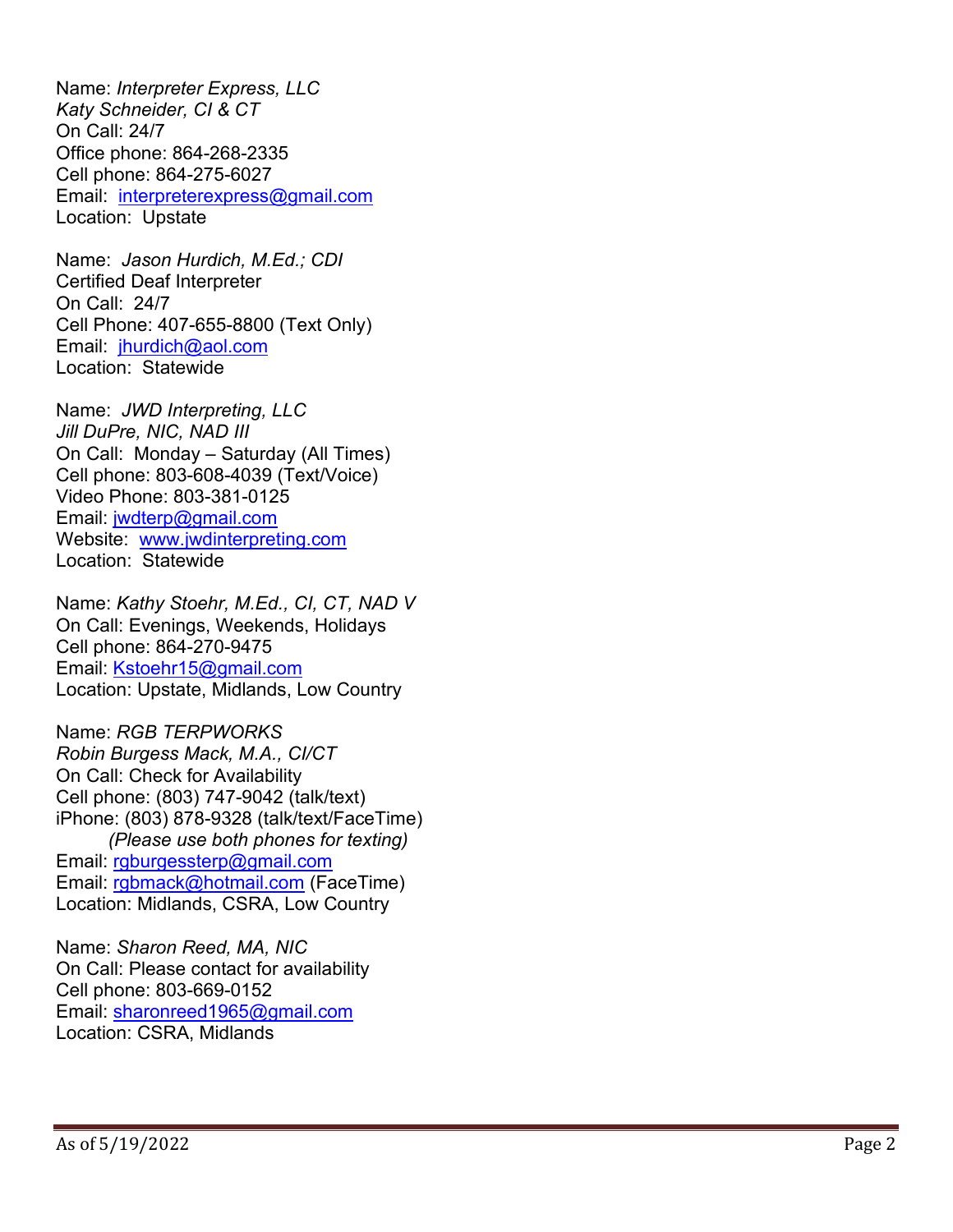Name: *Interpreter Express, LLC Katy Schneider, CI & CT* On Call: 24/7 Office phone: 864 -268 -2335 Cell phone: 864 -275 -6027 Email: [interpreterexpress@gmail.com](mailto:interpreterexpress@gmail.com) Location: Upstate

Name: *Jason Hurdich, M.Ed.; CDI* Certified Deaf Interpreter On Call: 24/7 Cell Phone: 407 -655 -8800 (Text Only) Email: [jhurdich@aol.com](mailto:jhurdich@aol.com) Location: Statewide

Name: *JWD Interpreting, LLC Jill DuPre, NIC, NAD III* On Call: Monday – Saturday (All Times) Cell phone: 803 -608 -4039 (Text/Voice) Video Phone: 803 -381 -0125 Email: [jwdterp@gmail.com](mailto:jwdterp@gmail.com) Website: [www.jwdinterpreting.com](http://www.jwdinterpreting.com/) Location: Statewide

Name: *Kathy Stoehr, M.Ed., CI, CT, NAD V* On Call: Evenings, Weekends, Holidays Cell phone: 864 -270 -9475 Email: [Kstoehr15@gmail.com](mailto:Kstoehr15@gmail.com) Location: Upstate, Midlands, Low Country

Name: *RGB TERPWORKS Robin Burgess Mack, M.A., CI/CT* On Call: Check for Availability Cell phone: (803) 747 -9042 (talk/text) iPhone: (803) 878 -9328 (talk/text/FaceTime) *(Please use both phones for texting)*  Email: [rgburgessterp@gmail.com](mailto:rgburgessterp@gmail.com) Email: [rgbmack@hotmail.com](mailto:rgbmack@hotmail.com) (FaceTime) Location: Midlands, CSRA, Low Country

Name: *Sharon Reed, MA, NIC* On Call: Please contact for availability Cell phone: 803 -669 -0152 Email: [sharonreed1965@gmail.com](mailto:sharonreed1965@gmail.com)  Location: CSRA, Midlands